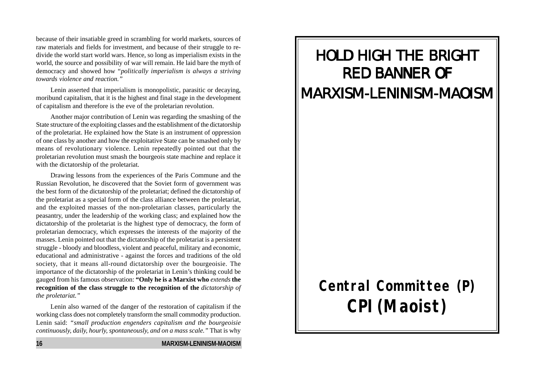because of their insatiable greed in scrambling for world markets, sources of raw materials and fields for investment, and because of their struggle to redivide the world start world wars. Hence, so long as imperialism exists in the world, the source and possibility of war will remain. He laid bare the myth of democracy and showed how "*politically imperialism is always a striving towards violence and reaction."*

Lenin asserted that imperialism is monopolistic, parasitic or decaying, moribund capitalism, that it is the highest and final stage in the development of capitalism and therefore is the eve of the proletarian revolution.

Another major contribution of Lenin was regarding the smashing of the State structure of the exploiting classes and the establishment of the dictatorship of the proletariat. He explained how the State is an instrument of oppression of one class by another and how the exploitative State can be smashed only by means of revolutionary violence. Lenin repeatedly pointed out that the proletarian revolution must smash the bourgeois state machine and replace it with the dictatorship of the proletariat.

Drawing lessons from the experiences of the Paris Commune and the Russian Revolution, he discovered that the Soviet form of government was the best form of the dictatorship of the proletariat; defined the dictatorship of the proletariat as a special form of the class alliance between the proletariat, and the exploited masses of the non-proletarian classes, particularly the peasantry, under the leadership of the working class; and explained how the dictatorship of the proletariat is the highest type of democracy, the form of proletarian democracy, which expresses the interests of the majority of the masses. Lenin pointed out that the dictatorship of the proletariat is a persistent struggle - bloody and bloodless, violent and peaceful, military and economic, educational and administrative - against the forces and traditions of the old society, that it means all-round dictatorship over the bourgeoisie. The importance of the dictatorship of the proletariat in Lenin's thinking could be gauged from his famous observation: **"Only he is a Marxist who** *extends* **the recognition of the class struggle to the recognition of the** *dictatorship of the proletariat."*

Lenin also warned of the danger of the restoration of capitalism if the working class does not completely transform the small commodity production. Lenin said: *"small production engenders capitalism and the bourgeoisie continuously, daily, hourly, spontaneously, and on a mass scale."* That is why

#### **16 MARXISM-LENINISM-MAOISM**

# HOLD HIGH THE BRIGHT **RED BANNER OF** MARXISM-LENINISM-MAOISM

# **Central Committee (P) CPI(Maoist)**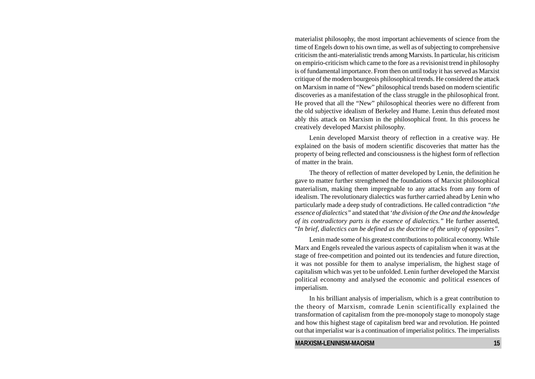materialist philosophy, the most important achievements of science from the time of Engels down to his own time, as well as of subjecting to comprehensive criticism the anti-materialistic trends among Marxists. In particular, his criticism on empirio-criticism which came to the fore as a revisionist trend in philosophy is of fundamental importance. From then on until today it has served as Marxist critique of the modern bourgeois philosophical trends. He considered the attack on Marxism in name of "New" philosophical trends based on modern scientific discoveries as a manifestation of the class struggle in the philosophical front. He proved that all the "New" philosophical theories were no different from the old subjective idealism of Berkeley and Hume. Lenin thus defeated most ably this attack on Marxism in the philosophical front. In this process he creatively developed Marxist philosophy.

Lenin developed Marxist theory of reflection in a creative way. He explained on the basis of modern scientific discoveries that matter has the property of being reflected and consciousness is the highest form of reflection of matter in the brain.

The theory of reflection of matter developed by Lenin, the definition he gave to matter further strengthened the foundations of Marxist philosophical materialism, making them impregnable to any attacks from any form of idealism. The revolutionary dialectics was further carried ahead by Lenin who particularly made a deep study of contradictions. He called contradiction *"the essence of dialectics"* and stated that '*the division of the One and the knowledge of its contradictory parts is the essence of dialectics."* He further asserted, "*In brief, dialectics can be defined as the doctrine of the unity of opposites".*

Lenin made some of his greatest contributions to political economy. While Marx and Engels revealed the various aspects of capitalism when it was at the stage of free-competition and pointed out its tendencies and future direction, it was not possible for them to analyse imperialism, the highest stage of capitalism which was yet to be unfolded. Lenin further developed the Marxist political economy and analysed the economic and political essences of imperialism.

In his brilliant analysis of imperialism, which is a great contribution to the theory of Marxism, comrade Lenin scientifically explained the transformation of capitalism from the pre-monopoly stage to monopoly stage and how this highest stage of capitalism bred war and revolution. He pointed out that imperialist war is a continuation of imperialist politics. The imperialists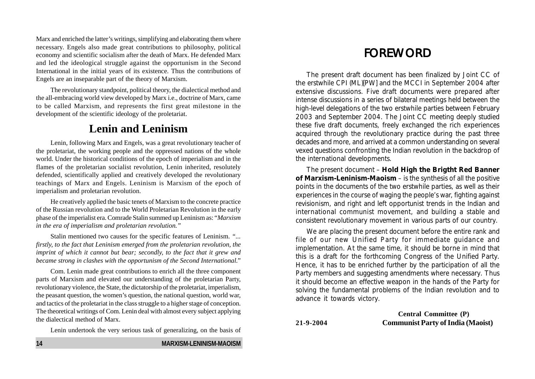Marx and enriched the latter's writings, simplifying and elaborating them where necessary. Engels also made great contributions to philosophy, political economy and scientific socialism after the death of Marx. He defended Marx and led the ideological struggle against the opportunism in the Second International in the initial years of its existence. Thus the contributions of Engels are an inseparable part of the theory of Marxism.

The revolutionary standpoint, political theory, the dialectical method and the all-embracing world view developed by Marx i.e., doctrine of Marx, came to be called Marxism, and represents the first great milestone in the development of the scientific ideology of the proletariat.

## **Lenin and Leninism**

Lenin, following Marx and Engels, was a great revolutionary teacher of the proletariat, the working people and the oppressed nations of the whole world. Under the historical conditions of the epoch of imperialism and in the flames of the proletarian socialist revolution, Lenin inherited, resolutely defended, scientifically applied and creatively developed the revolutionary teachings of Marx and Engels. Leninism is Marxism of the epoch of imperialism and proletarian revolution.

He creatively applied the basic tenets of Marxism to the concrete practice of the Russian revolution and to the World Proletarian Revolution in the early phase of the imperialist era. Comrade Stalin summed up Leninism as: "*Marxism in the era of imperialism and proletarian revolution."*

Stalin mentioned two causes for the specific features of Leninism. *"... firstly, to the fact that Leninism emerged from the proletarian revolution, the imprint of which it cannot but bear; secondly, to the fact that it grew and became strong in clashes with the opportunism of the Second International*."

Com. Lenin made great contributions to enrich all the three component parts of Marxism and elevated our understanding of the proletarian Party, revolutionary violence, the State, the dictatorship of the proletariat, imperialism, the peasant question, the women's question, the national question, world war, and tactics of the proletariat in the class struggle to a higher stage of conception. The theoretical writings of Com. Lenin deal with almost every subject applying the dialectical method of Marx.

Lenin undertook the very serious task of generalizing, on the basis of

# FOREWORD

The present draft document has been finalized by Joint CC of the erstwhile CPI (ML)[PW] and the MCCI in September 2004 after extensive discussions. Five draft documents were prepared after intense discussions in a series of bilateral meetings held between the high-level delegations of the two erstwhile parties between February 2003 and September 2004. The Joint CC meeting deeply studied these five draft documents, freely exchanged the rich experiences acquired through the revolutionary practice during the past three decades and more, and arrived at a common understanding on several vexed questions confronting the Indian revolution in the backdrop of the international developments.

The present document – **Hold High the Brigtht Red Banner of Marxism-Leninism-Maoism** – is the synthesis of all the positive points in the documents of the two erstwhile parties, as well as their experiences in the course of waging the people's war, fighting against revisionism, and right and left opportunist trends in the Indian and international communist movement, and building a stable and consistent revolutionary movement in various parts of our country.

We are placing the present document before the entire rank and file of our new Unified Party for immediate guidance and implementation. At the same time, it should be borne in mind that this is a draft for the forthcoming Congress of the Unified Party. Hence, it has to be enriched further by the participation of all the Party members and suggesting amendments where necessary. Thus it should become an effective weapon in the hands of the Party for solving the fundamental problems of the Indian revolution and to advance it towards victory.

**Central Committee (P) 21-9-2004 Communist Party of India (Maoist)**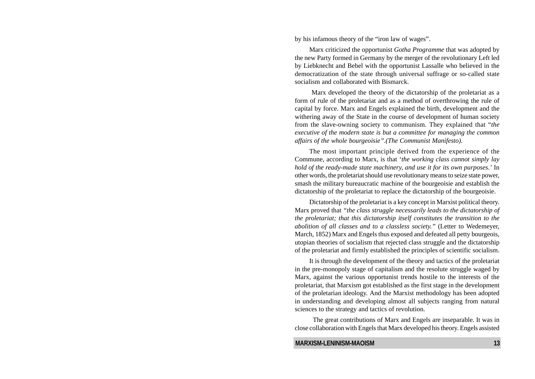by his infamous theory of the "iron law of wages".

Marx criticized the opportunist *Gotha Programme* that was adopted by the new Party formed in Germany by the merger of the revolutionary Left led by Liebknecht and Bebel with the opportunist Lassalle who believed in the democratization of the state through universal suffrage or so-called state socialism and collaborated with Bismarck.

 Marx developed the theory of the dictatorship of the proletariat as a form of rule of the proletariat and as a method of overthrowing the rule of capital by force. Marx and Engels explained the birth, development and the withering away of the State in the course of development of human society from the slave-owning society to communism. They explained that "*the executive of the modern state is but a committee for managing the common affairs of the whole bourgeoisie".(The Communist Manifesto).*

The most important principle derived from the experience of the Commune, according to Marx, is that '*the working class cannot simply lay hold of the ready-made state machinery, and use it for its own purposes.'* In other words, the proletariat should use revolutionary means to seize state power, smash the military bureaucratic machine of the bourgeoisie and establish the dictatorship of the proletariat to replace the dictatorship of the bourgeoisie.

Dictatorship of the proletariat is a key concept in Marxist political theory. Marx proved that *"the class struggle necessarily leads to the dictatorship of the proletariat; that this dictatorship itself constitutes the transition to the abolition of all classes and to a classless society."* (Letter to Wedemeyer, March, 1852) Marx and Engels thus exposed and defeated all petty bourgeois, utopian theories of socialism that rejected class struggle and the dictatorship of the proletariat and firmly established the principles of scientific socialism.

It is through the development of the theory and tactics of the proletariat in the pre-monopoly stage of capitalism and the resolute struggle waged by Marx, against the various opportunist trends hostile to the interests of the proletariat, that Marxism got established as the first stage in the development of the proletarian ideology. And the Marxist methodology has been adopted in understanding and developing almost all subjects ranging from natural sciences to the strategy and tactics of revolution.

 The great contributions of Marx and Engels are inseparable. It was in close collaboration with Engels that Marx developed his theory. Engels assisted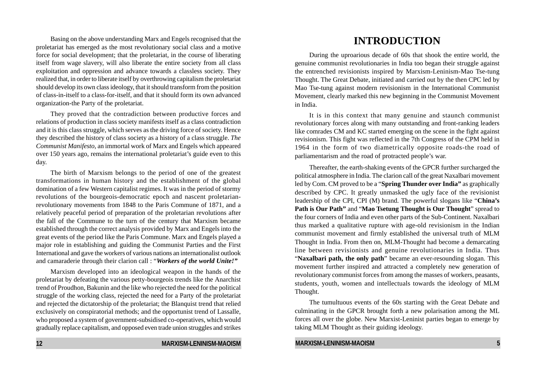Basing on the above understanding Marx and Engels recognised that the proletariat has emerged as the most revolutionary social class and a motive force for social development; that the proletariat, in the course of liberating itself from wage slavery, will also liberate the entire society from all class exploitation and oppression and advance towards a classless society. They realized that, in order to liberate itself by overthrowing capitalism the proletariat should develop its own class ideology, that it should transform from the position of class-in-itself to a class-for-itself, and that it should form its own advanced organization-the Party of the proletariat.

They proved that the contradiction between productive forces and relations of production in class society manifests itself as a class contradiction and it is this class struggle, which serves as the driving force of society. Hence they described the history of class society as a history of a class struggle. *The Communist Manifesto*, an immortal work of Marx and Engels which appeared over 150 years ago, remains the international proletariat's guide even to this day.

The birth of Marxism belongs to the period of one of the greatest transformations in human history and the establishment of the global domination of a few Western capitalist regimes. It was in the period of stormy revolutions of the bourgeois-democratic epoch and nascent proletarianrevolutionary movements from 1848 to the Paris Commune of 1871, and a relatively peaceful period of preparation of the proletarian revolutions after the fall of the Commune to the turn of the century that Marxism became established through the correct analysis provided by Marx and Engels into the great events of the period like the Paris Commune. Marx and Engels played a major role in establishing and guiding the Communist Parties and the First International and gave the workers of various nations an internationalist outlook and camaraderie through their clarion call : "*Workers of the world Unite!"*

Marxism developed into an ideological weapon in the hands of the proletariat by defeating the various petty-bourgeois trends like the Anarchist trend of Proudhon, Bakunin and the like who rejected the need for the political struggle of the working class, rejected the need for a Party of the proletariat and rejected the dictatorship of the proletariat; the Blanquist trend that relied exclusively on conspiratorial methods; and the opportunist trend of Lassalle, who proposed a system of government-subsidised co-operatives, which would gradually replace capitalism, and opposed even trade union struggles and strikes

# **INTRODUCTION**

During the uproarious decade of 60s that shook the entire world, the genuine communist revolutionaries in India too began their struggle against the entrenched revisionists inspired by Marxism-Leninism-Mao Tse-tung Thought. The Great Debate, initiated and carried out by the then CPC led by Mao Tse-tung against modern revisionism in the International Communist Movement, clearly marked this new beginning in the Communist Movement in India.

It is in this context that many genuine and staunch communist revolutionary forces along with many outstanding and front-ranking leaders like comrades CM and KC started emerging on the scene in the fight against revisionism. This fight was reflected in the 7th Congress of the CPM held in 1964 in the form of two diametrically opposite roads-the road of parliamentarism and the road of protracted people's war.

Thereafter, the earth-shaking events of the GPCR further surcharged the political atmosphere in India. The clarion call of the great Naxalbari movement led by Com. CM proved to be a "**Spring Thunder over India"** as graphically described by CPC. It greatly unmasked the ugly face of the revisionist leadership of the CPI, CPI (M) brand. The powerful slogans like "**China's Path is Our Path"** and "**Mao Tsetung Thought is Our Thought**" spread to the four corners of India and even other parts of the Sub-Continent. Naxalbari thus marked a qualitative rupture with age-old revisionism in the Indian communist movement and firmly established the universal truth of MLM Thought in India. From then on, MLM-Thought had become a demarcating line between revisionists and genuine revolutionaries in India. Thus "**Naxalbari path, the only path**" became an ever-resounding slogan. This movement further inspired and attracted a completely new generation of revolutionary communist forces from among the masses of workers, peasants, students, youth, women and intellectuals towards the ideology of MLM Thought.

The tumultuous events of the 60s starting with the Great Debate and culminating in the GPCR brought forth a new polarisation among the ML forces all over the globe. New Marxist-Leninist parties began to emerge by taking MLM Thought as their guiding ideology.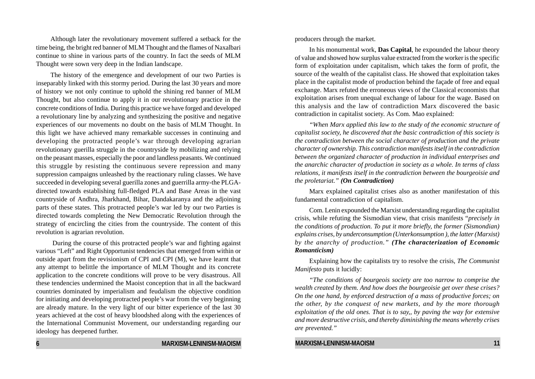Although later the revolutionary movement suffered a setback for the time being, the bright red banner of MLM Thought and the flames of Naxalbari continue to shine in various parts of the country. In fact the seeds of MLM Thought were sown very deep in the Indian landscape.

The history of the emergence and development of our two Parties is inseparably linked with this stormy period. During the last 30 years and more of history we not only continue to uphold the shining red banner of MLM Thought, but also continue to apply it in our revolutionary practice in the concrete conditions of India. During this practice we have forged and developed a revolutionary line by analyzing and synthesizing the positive and negative experiences of our movements no doubt on the basis of MLM Thought. In this light we have achieved many remarkable successes in continuing and developing the protracted people's war through developing agrarian revolutionary guerilla struggle in the countryside by mobilizing and relying on the peasant masses, especially the poor and landless peasants. We continued this struggle by resisting the continuous severe repression and many suppression campaigns unleashed by the reactionary ruling classes. We have succeeded in developing several guerilla zones and guerrilla army-the PLGAdirected towards establishing full-fledged PLA and Base Areas in the vast countryside of Andhra, Jharkhand, Bihar, Dandakaranya and the adjoining parts of these states. This protracted people's war led by our two Parties is directed towards completing the New Democratic Revolution through the strategy of encircling the cities from the countryside. The content of this revolution is agrarian revolution.

 During the course of this protracted people's war and fighting against various "Left" and Right Opportunist tendencies that emerged from within or outside apart from the revisionism of CPI and CPI (M), we have learnt that any attempt to belittle the importance of MLM Thought and its concrete application to the concrete conditions will prove to be very disastrous. All these tendencies undermined the Maoist conception that in all the backward countries dominated by imperialism and feudalism the objective condition for initiating and developing protracted people's war from the very beginning are already mature. In the very light of our bitter experience of the last 30 years achieved at the cost of heavy bloodshed along with the experiences of the International Communist Movement, our understanding regarding our ideology has deepened further.

producers through the market.

In his monumental work, **Das Capital**, he expounded the labour theory of value and showed how surplus value extracted from the worker is the specific form of exploitation under capitalism, which takes the form of profit, the source of the wealth of the capitalist class. He showed that exploitation takes place in the capitalist mode of production behind the façade of free and equal exchange. Marx refuted the erroneous views of the Classical economists that exploitation arises from unequal exchange of labour for the wage. Based on this analysis and the law of contradiction Marx discovered the basic contradiction in capitalist society. As Com. Mao explained:

*"When Marx applied this law to the study of the economic structure of capitalist society, he discovered that the basic contradiction of this society is the contradiction between the social character of production and the private character of ownership. This contradiction manifests itself in the contradiction between the organized character of production in individual enterprises and the anarchic character of production in society as a whole. In terms of class relations, it manifests itself in the contradiction between the bourgeoisie and the proletariat." (On Contradiction)*

Marx explained capitalist crises also as another manifestation of this fundamental contradiction of capitalism.

Com. Lenin expounded the Marxist understanding regarding the capitalist crisis, while refuting the Sismodian view, that crisis manifests "*precisely in the conditions of production. To put it more briefly, the former (Sismondian) explains crises, by underconsumption (Unterkonsumption ), the latter (Marxist) by the anarchy of production." (The characterization of Economic Romanticism)*

Explaining how the capitalists try to resolve the crisis, *The Communist Manifesto* puts it lucidly:

*"The conditions of bourgeois society are too narrow to comprise the wealth created by them. And how does the bourgeoisie get over these crises? On the one hand, by enforced destruction of a mass of productive forces; on the other, by the conquest of new markets, and by the more thorough exploitation of the old ones. That is to say,, by paving the way for extensive and more destructive crisis, and thereby diminishing the means whereby crises are prevented."*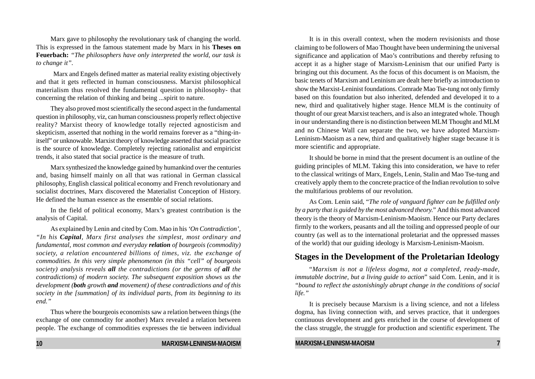Marx gave to philosophy the revolutionary task of changing the world. This is expressed in the famous statement made by Marx in his **Theses on Feuerbach:** *"The philosophers have only interpreted the world, our task is to change it".*

 Marx and Engels defined matter as material reality existing objectively and that it gets reflected in human consciousness. Marxist philosophical materialism thus resolved the fundamental question in philosophy- that concerning the relation of thinking and being ...spirit to nature.

They also proved most scientifically the second aspect in the fundamental question in philosophy, viz, can human consciousness properly reflect objective reality? Marxist theory of knowledge totally rejected agnosticism and skepticism, asserted that nothing in the world remains forever as a "thing-initself" or unknowable. Marxist theory of knowledge asserted that social practice is the source of knowledge. Completely rejecting rationalist and empiricist trends, it also stated that social practice is the measure of truth.

Marx synthesized the knowledge gained by humankind over the centuries and, basing himself mainly on all that was rational in German classical philosophy, English classical political economy and French revolutionary and socialist doctrines, Marx discovered the Materialist Conception of History. He defined the human essence as the ensemble of social relations.

In the field of political economy, Marx's greatest contribution is the analysis of Capital.

As explained by Lenin and cited by Com. Mao in his *'On Contradiction', "In his Capital, Marx first analyses the simplest, most ordinary and fundamental, most common and everyday relation of bourgeois (commodity) society, a relation encountered billions of times, viz. the exchange of commodities. In this very simple phenomenon (in this "cell" of bourgeois society) analysis reveals all the contradictions (or the germs of all the contradictions) of modern society. The subsequent exposition shows us the development (both growth and movement) of these contradictions and of this society in the [summation] of its individual parts, from its beginning to its end."*

Thus where the bourgeois economists saw a relation between things (the exchange of one commodity for another) Marx revealed a relation between people. The exchange of commodities expresses the tie between individual

It is in this overall context, when the modern revisionists and those claiming to be followers of Mao Thought have been undermining the universal significance and application of Mao's contributions and thereby refusing to accept it as a higher stage of Marxism-Leninism that our unified Party is bringing out this document. As the focus of this document is on Maoism, the basic tenets of Marxism and Leninism are dealt here briefly as introduction to show the Marxist-Leninist foundations. Comrade Mao Tse-tung not only firmly based on this foundation but also inherited, defended and developed it to a new, third and qualitatively higher stage. Hence MLM is the continuity of thought of our great Marxist teachers, and is also an integrated whole. Though in our understanding there is no distinction between MLM Thought and MLM and no Chinese Wall can separate the two, we have adopted Marxism-Leninism-Maoism as a new, third and qualitatively higher stage because it is more scientific and appropriate.

It should be borne in mind that the present document is an outline of the guiding principles of MLM. Taking this into consideration, we have to refer to the classical writings of Marx, Engels, Lenin, Stalin and Mao Tse-tung and creatively apply them to the concrete practice of the Indian revolution to solve the multifarious problems of our revolution.

As Com. Lenin said, "*The role of vanguard fighter can be fulfilled only by a party that is guided by the most advanced theory.*" And this most advanced theory is the theory of Marxism-Leninism-Maoism. Hence our Party declares firmly to the workers, peasants and all the toiling and oppressed people of our country (as well as to the international proletariat and the oppressed masses of the world) that our guiding ideology is Marxism-Leninism-Maoism.

### **Stages in the Development of the Proletarian Ideology**

"*Marxism is not a lifeless dogma, not a completed, ready-made, immutable doctrine, but a living guide to action*" said Com. Lenin, and it is *"bound to reflect the astonishingly abrupt change in the conditions of social life."*

It is precisely because Marxism is a living science, and not a lifeless dogma, has living connection with, and serves practice, that it undergoes continuous development and gets enriched in the course of development of the class struggle, the struggle for production and scientific experiment. The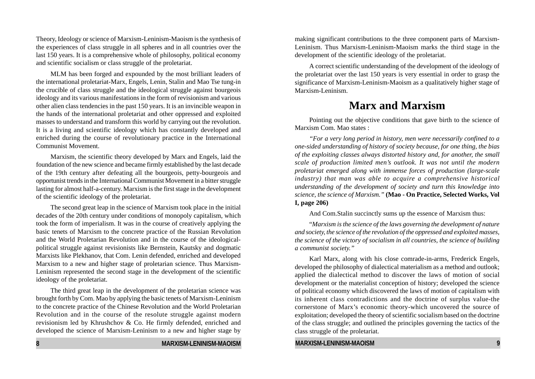Theory, Ideology or science of Marxism-Leninism-Maoism is the synthesis of the experiences of class struggle in all spheres and in all countries over the last 150 years. It is a comprehensive whole of philosophy, political economy and scientific socialism or class struggle of the proletariat.

MLM has been forged and expounded by the most brilliant leaders of the international proletariat-Marx, Engels, Lenin, Stalin and Mao Tse tung-in the crucible of class struggle and the ideological struggle against bourgeois ideology and its various manifestations in the form of revisionism and various other alien class tendencies in the past 150 years. It is an invincible weapon in the hands of the international proletariat and other oppressed and exploited masses to understand and transform this world by carrying out the revolution. It is a living and scientific ideology which has constantly developed and enriched during the course of revolutionary practice in the International Communist Movement.

Marxism, the scientific theory developed by Marx and Engels, laid the foundation of the new science and became firmly established by the last decade of the 19th century after defeating all the bourgeois, petty-bourgeois and opportunist trends in the International Communist Movement in a bitter struggle lasting for almost half-a-century. Marxism is the first stage in the development of the scientific ideology of the proletariat.

The second great leap in the science of Marxism took place in the initial decades of the 20th century under conditions of monopoly capitalism, which took the form of imperialism. It was in the course of creatively applying the basic tenets of Marxism to the concrete practice of the Russian Revolution and the World Proletarian Revolution and in the course of the ideologicalpolitical struggle against revisionists like Bernstein, Kautsky and dogmatic Marxists like Plekhanov, that Com. Lenin defended, enriched and developed Marxism to a new and higher stage of proletarian science. Thus Marxism-Leninism represented the second stage in the development of the scientific ideology of the proletariat.

The third great leap in the development of the proletarian science was brought forth by Com. Mao by applying the basic tenets of Marxism-Leninism to the concrete practice of the Chinese Revolution and the World Proletarian Revolution and in the course of the resolute struggle against modern revisionism led by Khrushchov & Co. He firmly defended, enriched and developed the science of Marxism-Leninism to a new and higher stage by

making significant contributions to the three component parts of Marxism-Leninism. Thus Marxism-Leninism-Maoism marks the third stage in the development of the scientific ideology of the proletariat.

A correct scientific understanding of the development of the ideology of the proletariat over the last 150 years is very essential in order to grasp the significance of Marxism-Leninism-Maoism as a qualitatively higher stage of Marxism-Leninism.

# **Marx and Marxism**

Pointing out the objective conditions that gave birth to the science of Marxism Com. Mao states :

*"For a very long period in history, men were necessarily confined to a one-sided understanding of history of society because, for one thing, the bias of the exploiting classes always distorted history and, for another, the small scale of production limited men's outlook. It was not until the modern proletariat emerged along with immense forces of production (large-scale industry) that man was able to acquire a comprehensive historical understanding of the development of society and turn this knowledge into science, the science of Marxism."* **(Mao - On Practice, Selected Works, Vol I, page 206)**

And Com.Stalin succinctly sums up the essence of Marxism thus:

"*Marxism is the science of the laws governing the development of nature and society, the science of the revolution of the oppressed and exploited masses, the science of the victory of socialism in all countries, the science of building a communist society."*

Karl Marx, along with his close comrade-in-arms, Frederick Engels, developed the philosophy of dialectical materialism as a method and outlook; applied the dialectical method to discover the laws of motion of social development or the materialist conception of history; developed the science of political economy which discovered the laws of motion of capitalism with its inherent class contradictions and the doctrine of surplus value-the cornerstone of Marx's economic theory-which uncovered the source of exploitation; developed the theory of scientific socialism based on the doctrine of the class struggle; and outlined the principles governing the tactics of the class struggle of the proletariat.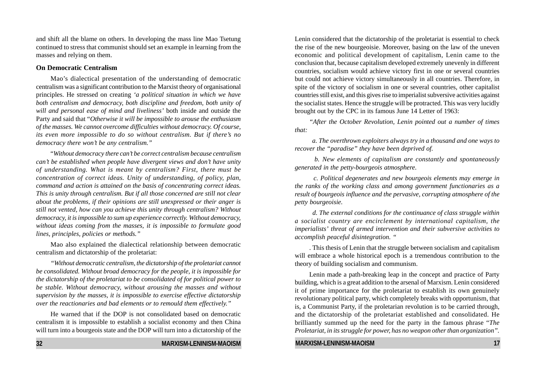and shift all the blame on others. In developing the mass line Mao Tsetung continued to stress that communist should set an example in learning from the masses and relying on them.

#### **On Democratic Centralism**

Mao's dialectical presentation of the understanding of democratic centralism was a significant contribution to the Marxist theory of organisational principles. He stressed on creating *'a political situation in which we have both centralism and democracy, both discipline and freedom, both unity of will and personal ease of mind and liveliness'* both inside and outside the Party and said that "*Otherwise it will be impossible to arouse the enthusiasm of the masses. We cannot overcome difficulties without democracy. Of course, its even more impossible to do so without centralism. But if there's no democracy there won't be any centralism."*

"*Without democracy there can't be correct centralism because centralism can't be established when people have divergent views and don't have unity of understanding. What is meant by centralism? First, there must be concentration of correct ideas. Unity of understanding, of policy, plan, command and action is attained on the basis of concentrating correct ideas. This is unity through centralism. But if all those concerned are still not clear about the problems, if their opinions are still unexpressed or their anger is still not vented, how can you achieve this unity through centralism? Without democracy, it is impossible to sum up experience correctly. Without democracy, without ideas coming from the masses, it is impossible to formulate good lines, principles, policies or methods."*

Mao also explained the dialectical relationship between democratic centralism and dictatorship of the proletariat:

*"Without democratic centralism, the dictatorship of the proletariat cannot be consolidated. Without broad democracy for the people, it is impossible for the dictatorship of the proletariat to be consolidated of for political power to be stable. Without democracy, without arousing the masses and without supervision by the masses, it is impossible to exercise effective dictatorship over the reactionaries and bad elements or to remould them effectively."*

He warned that if the DOP is not consolidated based on democratic centralism it is impossible to establish a socialist economy and then China will turn into a bourgeois state and the DOP will turn into a dictatorship of the

**32 MARXISM-LENINISM-MAOISM**

Lenin considered that the dictatorship of the proletariat is essential to check the rise of the new bourgeoisie. Moreover, basing on the law of the uneven economic and political development of capitalism, Lenin came to the conclusion that, because capitalism developed extremely unevenly in different countries, socialism would achieve victory first in one or several countries but could not achieve victory simultaneously in all countries. Therefore, in spite of the victory of socialism in one or several countries, other capitalist countries still exist, and this gives rise to imperialist subversive activities against the socialist states. Hence the struggle will be protracted. This was very lucidly brought out by the CPC in its famous June 14 Letter of 1963:

*"After the October Revolution, Lenin pointed out a number of times that:*

 *a. The overthrown exploiters always try in a thousand and one ways to recover the "paradise" they have been deprived of.*

 *b. New elements of capitalism are constantly and spontaneously generated in the petty-bourgeois atmosphere.*

 *c. Political degenerates and new bourgeois elements may emerge in the ranks of the working class and among government functionaries as a result of bourgeois influence and the pervasive, corrupting atmosphere of the petty bourgeoisie.*

 *d. The external conditions for the continuance of class struggle within a socialist country are encirclement by international capitalism, the imperialists' threat of armed intervention and their subversive activities to accomplish peaceful disintegration. "*

. This thesis of Lenin that the struggle between socialism and capitalism will embrace a whole historical epoch is a tremendous contribution to the theory of building socialism and communism.

Lenin made a path-breaking leap in the concept and practice of Party building, which is a great addition to the arsenal of Marxism. Lenin considered it of prime importance for the proletariat to establish its own genuinely revolutionary political party, which completely breaks with opportunism, that is, a Communist Party, if the proletarian revolution is to be carried through, and the dictatorship of the proletariat established and consolidated. He brilliantly summed up the need for the party in the famous phrase "*The Proletariat, in its struggle for power, has no weapon other than organization".*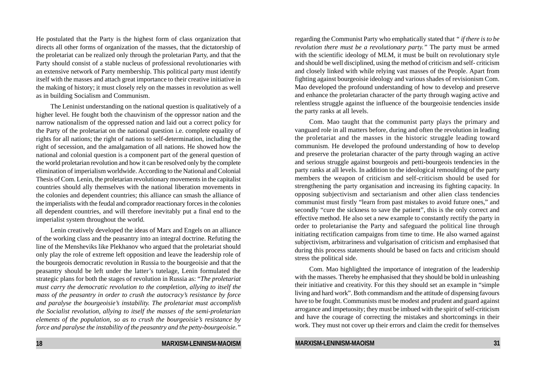He postulated that the Party is the highest form of class organization that directs all other forms of organization of the masses, that the dictatorship of the proletariat can be realized only through the proletarian Party, and that the Party should consist of a stable nucleus of professional revolutionaries with an extensive network of Party membership. This political party must identify itself with the masses and attach great importance to their creative initiative in the making of history; it must closely rely on the masses in revolution as well as in building Socialism and Communism.

The Leninist understanding on the national question is qualitatively of a higher level. He fought both the chauvinism of the oppressor nation and the narrow nationalism of the oppressed nation and laid out a correct policy for the Party of the proletariat on the national question i.e. complete equality of rights for all nations; the right of nations to self-determination, including the right of secession, and the amalgamation of all nations. He showed how the national and colonial question is a component part of the general question of the world proletarian revolution and how it can be resolved only by the complete elimination of imperialism worldwide. According to the National and Colonial Thesis of Com. Lenin, the proletarian revolutionary movements in the capitalist countries should ally themselves with the national liberation movements in the colonies and dependent countries; this alliance can smash the alliance of the imperialists with the feudal and comprador reactionary forces in the colonies all dependent countries, and will therefore inevitably put a final end to the imperialist system throughout the world.

Lenin creatively developed the ideas of Marx and Engels on an alliance of the working class and the peasantry into an integral doctrine. Refuting the line of the Mensheviks like Plekhanov who argued that the proletariat should only play the role of extreme left opposition and leave the leadership role of the bourgeois democratic revolution in Russia to the bourgeoisie and that the peasantry should be left under the latter's tutelage, Lenin formulated the strategic plans for both the stages of revolution in Russia as: "*The proletariat must carry the democratic revolution to the completion, allying to itself the mass of the peasantry in order to crush the autocracy's resistance by force and paralyse the bourgeoisie's instability. The proletariat must accomplish the Socialist revolution, allying to itself the masses of the semi-proletarian elements of the population, so as to crush the bourgeoisie's resistance by force and paralyse the instability of the peasantry and the petty-bourgeoisie."*

regarding the Communist Party who emphatically stated that *" if there is to be revolution there must be a revolutionary party."* The party must be armed with the scientific ideology of MLM, it must be built on revolutionary style and should be well disciplined, using the method of criticism and self- criticism and closely linked with while relying vast masses of the People. Apart from fighting against bourgeoisie ideology and various shades of revisionism Com. Mao developed the profound understanding of how to develop and preserve and enhance the proletarian character of the party through waging active and relentless struggle against the influence of the bourgeoisie tendencies inside the party ranks at all levels.

Com. Mao taught that the communist party plays the primary and vanguard role in all matters before, during and often the revolution in leading the proletariat and the masses in the historic struggle leading toward communism. He developed the profound understanding of how to develop and preserve the proletarian character of the party through waging an active and serious struggle against bourgeois and petti-bourgeois tendencies in the party ranks at all levels. In addition to the ideological remoulding of the party members the weapon of criticism and self-criticism should be used for strengthening the party organisation and increasing its fighting capacity. In opposing subjectivism and sectarianism and other alien class tendencies communist must firstly "learn from past mistakes to avoid future ones," and secondly "cure the sickness to save the patient", this is the only correct and effective method. He also set a new example to constantly rectify the party in order to proletarianise the Party and safeguard the political line through initiating rectification campaigns from time to time. He also warned against subjectivism, arbitrariness and vulgarisation of criticism and emphasised that during this process statements should be based on facts and criticism should stress the political side.

Com. Mao highlighted the importance of integration of the leadership with the masses. Thereby he emphasised that they should be bold in unleashing their initiative and creativity. For this they should set an example in "simple living and hard work". Both commandism and the attitude of dispensing favours have to be fought. Communists must be modest and prudent and guard against arrogance and impetuosity; they must be imbued with the spirit of self-criticism and have the courage of correcting the mistakes and shortcomings in their work. They must not cover up their errors and claim the credit for themselves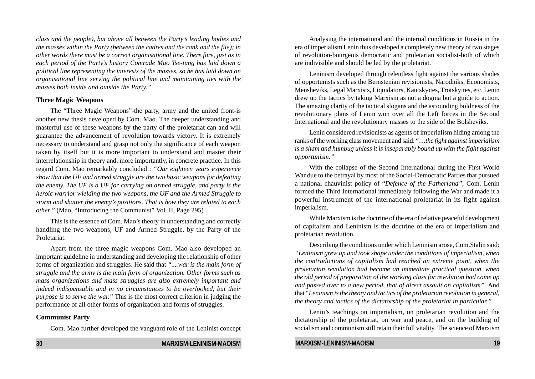*class and the people), but above all between the Party's leading bodies and the masses within the Party (between the cadres and the rank and the file); in other words there must be a correct organisational line. There fore, just as in each period of the Party's history Comrade Mao Tse-tung has laid down a political line representing the interests of the masses, so he has laid down an organisational line serving the political line and maintaining ties with the masses both inside and outside the Party."*

#### **Three Magic Weapons**

The "Three Magic Weapons"-the party, army and the united front-is another new thesis developed by Com. Mao. The deeper understanding and masterful use of these weapons by the party of the proletariat can and will guarantee the advancement of revolution towards victory. It is extremely necessary to understand and grasp not only the significance of each weapon taken by itself but it is more important to understand and master their interrelationship in theory and, more importantly, in concrete practice. In this regard Com. Mao remarkably concluded : *"Our eighteen years experience show that the UF and armed struggle are the two basic weapons for defeating the enemy. The UF is a UF for carrying on armed struggle, and party is the heroic warrior wielding the two weapons, the UF and the Armed Struggle to storm and shatter the enemy's positions. That is how they are related to each other.*" (Mao, "Introducing the Communist" Vol. II, Page 295)

This is the essence of Com. Mao's theory in understanding and correctly handling the two weapons, UF and Armed Struggle, by the Party of the Proletariat.

Apart from the three magic weapons Com. Mao also developed an important guideline in understanding and developing the relationship of other forms of organization and struggles. He said that *"....war is the main form of struggle and the army is the main form of organization. Other forms such as mass organizations and mass struggles are also extremely important and indeed indispensable and in no circumstances to be overlooked, but their purpose is to serve the war."* This is the most correct criterion in judging the performance of all other forms of organization and forms of struggles.

#### **Communist Party**

Com. Mao further developed the vanguard role of the Leninist concept

Analysing the international and the internal conditions in Russia in the era of imperialism Lenin thus developed a completely new theory of two stages of revolution-bourgeois democratic and proletarian socialist-both of which are indivisible and should be led by the proletariat.

Leninism developed through relentless fight against the various shades of opportunists such as the Bernstenian revisionists, Narodniks, Economists, Mensheviks, Legal Marxists, Liquidators, Kautskyites, Trotskyites, etc. Lenin drew up the tactics by taking Marxism as not a dogma but a guide to action. The amazing clarity of the tactical slogans and the astounding boldness of the revolutionary plans of Lenin won over all the Left forces in the Second International and the revolutionary masses to the side of the Bolsheviks.

Lenin considered revisionists as agents of imperialism hiding among the ranks of the working class movement and said: "…*the fight against imperialism is a sham and humbug unless it is inseparably bound up with the fight against opportunism."*

With the collapse of the Second International during the First World War due to the betrayal by most of the Social-Democratic Parties that pursued a national chauvinist policy of "*Defence of the Fatherland"*, Com. Lenin formed the Third International immediately following the War and made it a powerful instrument of the international proletariat in its fight against imperialism.

While Marxism is the doctrine of the era of relative peaceful development of capitalism and Leninism is the doctrine of the era of imperialism and proletarian revolution.

Describing the conditions under which Leninism arose, Com.Stalin said: *"Leninism grew up and took shape under the conditions of imperialism, when the contradictions of capitalism had reached an extreme point, when the proletarian revolution had become an immediate practical question, when the old period of preparation of the working class for revolution had come up and passed over to a new period, that of direct assault on capitalism".* And that "*Leninism is the theory and tactics of the proletarian revolution in general, the theory and tactics of the dictatorship of the proletariat in particular."*

Lenin's teachings on imperialism, on proletarian revolution and the dictatorship of the proletariat, on war and peace, and on the building of socialism and communism still retain their full vitality. The science of Marxism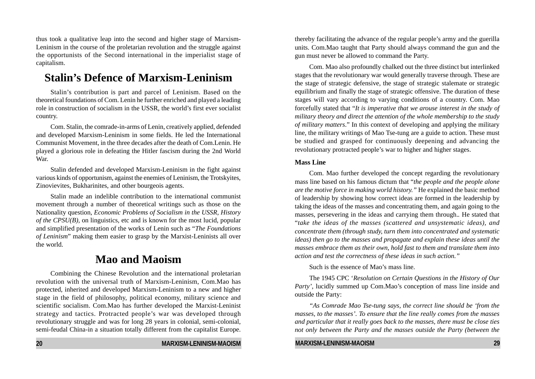thus took a qualitative leap into the second and higher stage of Marxism-Leninism in the course of the proletarian revolution and the struggle against the opportunists of the Second international in the imperialist stage of capitalism.

# **Stalin's Defence of Marxism-Leninism**

Stalin's contribution is part and parcel of Leninism. Based on the theoretical foundations of Com. Lenin he further enriched and played a leading role in construction of socialism in the USSR, the world's first ever socialist country.

Com. Stalin, the comrade-in-arms of Lenin, creatively applied, defended and developed Marxism-Leninism in some fields. He led the International Communist Movement, in the three decades after the death of Com.Lenin. He played a glorious role in defeating the Hitler fascism during the 2nd World War.

Stalin defended and developed Marxism-Leninism in the fight against various kinds of opportunism, against the enemies of Leninism, the Trotskyites, Zinovievites, Bukharinites, and other bourgeois agents.

Stalin made an indelible contribution to the international communist movement through a number of theoretical writings such as those on the Nationality question, *Economic Problems of Socialism in the USSR, History of the CPSU(B),* on linguistics, etc and is known for the most lucid, popular and simplified presentation of the works of Lenin such as "*The Foundations of Leninism*" making them easier to grasp by the Marxist-Leninists all over the world.

# **Mao and Maoism**

Combining the Chinese Revolution and the international proletarian revolution with the universal truth of Marxism-Leninism, Com.Mao has protected, inherited and developed Marxism-Leninism to a new and higher stage in the field of philosophy, political economy, military science and scientific socialism. Com.Mao has further developed the Marxist-Leninist strategy and tactics. Protracted people's war was developed through revolutionary struggle and was for long 28 years in colonial, semi-colonial, semi-feudal China-in a situation totally different from the capitalist Europe.

thereby facilitating the advance of the regular people's army and the guerilla units. Com.Mao taught that Party should always command the gun and the gun must never be allowed to command the Party.

Com. Mao also profoundly chalked out the three distinct but interlinked stages that the revolutionary war would generally traverse through. These are the stage of strategic defensive, the stage of strategic stalemate or strategic equilibrium and finally the stage of strategic offensive. The duration of these stages will vary according to varying conditions of a country. Com. Mao forcefully stated that "*It is imperative that we arouse interest in the study of military theory and direct the attention of the whole membership to the study of military matters*." In this context of developing and applying the military line, the military writings of Mao Tse-tung are a guide to action. These must be studied and grasped for continuously deepening and advancing the revolutionary protracted people's war to higher and higher stages.

#### **Mass Line**

Com. Mao further developed the concept regarding the revolutionary mass line based on his famous dictum that "*the people and the people alone are the motive force in making world history."* He explained the basic method of leadership by showing how correct ideas are formed in the leadership by taking the ideas of the masses and concentrating them, and again going to the masses, persevering in the ideas and carrying them through.*.* He stated that "*take the ideas of the masses (scattered and unsystematic ideas), and concentrate them (through study, turn them into concentrated and systematic ideas) then go to the masses and propagate and explain these ideas until the masses embrace them as their own, hold fast to them and translate them into action and test the correctness of these ideas in such action."*

Such is the essence of Mao's mass line.

The 1945 CPC '*Resolution on Certain Questions in the History of Our Party'*, lucidly summed up Com.Mao's conception of mass line inside and outside the Party:

*"As Comrade Mao Tse-tung says, the correct line should be 'from the masses, to the masses'. To ensure that the line really comes from the masses and particular that it really goes back to the masses, there must be close ties not only between the Party and the masses outside the Party (between the*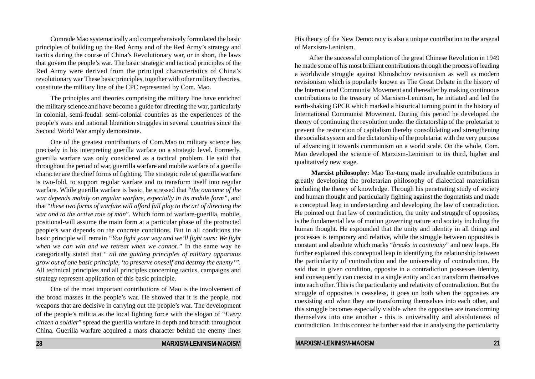Comrade Mao systematically and comprehensively formulated the basic principles of building up the Red Army and of the Red Army's strategy and tactics during the course of China's Revolutionary war, or in short, the laws that govern the people's war. The basic strategic and tactical principles of the Red Army were derived from the principal characteristics of China's revolutionary war These basic principles, together with other military theories, constitute the military line of the CPC represented by Com. Mao.

The principles and theories comprising the military line have enriched the military science and have become a guide for directing the war, particularly in colonial, semi-feudal. semi-colonial countries as the experiences of the people's wars and national liberation struggles in several countries since the Second World War amply demonstrate.

One of the greatest contributions of Com.Mao to military science lies precisely in his interpreting guerilla warfare on a strategic level. Formerly, guerilla warfare was only considered as a tactical problem. He said that throughout the period of war, guerrilla warfare and mobile warfare of a guerilla character are the chief forms of fighting. The strategic role of guerilla warfare is two-fold, to support regular warfare and to transform itself into regular warfare. While guerilla warfare is basic, he stressed that "*the outcome of the war depends mainly on regular warfare, especially in its mobile form",* and that "*these two forms of warfare will afford full play to the art of directing the war and to the active role of man*". Which form of warfare-guerilla, mobile, positional-will assume the main form at a particular phase of the protracted people's war depends on the concrete conditions. But in all conditions the basic principle will remain *"You fight your way and we'll fight ours: We fight when we can win and we retreat when we cannot."* In the same way he categorically stated that " *all the guiding principles of military apparatus grow out of one basic principle, 'to preserve oneself and destroy the enemy'".* All technical principles and all principles concerning tactics, campaigns and strategy represent application of this basic principle.

One of the most important contributions of Mao is the involvement of the broad masses in the people's war. He showed that it is the people, not weapons that are decisive in carrying out the people's war. The development of the people's militia as the local fighting force with the slogan of "*Every citizen a soldier*" spread the guerilla warfare in depth and breadth throughout China. Guerilla warfare acquired a mass character behind the enemy lines

His theory of the New Democracy is also a unique contribution to the arsenal of Marxism-Leninism.

After the successful completion of the great Chinese Revolution in 1949 he made some of his most brilliant contributions through the process of leading a worldwide struggle against Khrushchov revisionism as well as modern revisionism which is popularly known as The Great Debate in the history of the International Communist Movement and thereafter by making continuous contributions to the treasury of Marxism-Leninism, he initiated and led the earth-shaking GPCR which marked a historical turning point in the history of International Communist Movement. During this period he developed the theory of continuing the revolution under the dictatorship of the proletariat to prevent the restoration of capitalism thereby consolidating and strengthening the socialist system and the dictatorship of the proletariat with the very purpose of advancing it towards communism on a world scale. On the whole, Com. Mao developed the science of Marxism-Leninism to its third, higher and qualitatively new stage.

 **Marxist philosophy:** Mao Tse-tung made invaluable contributions in greatly developing the proletarian philosophy of dialectical materialism including the theory of knowledge. Through his penetrating study of society and human thought and particularly fighting against the dogmatists and made a conceptual leap in understanding and developing the law of contradiction. He pointed out that law of contradiction, the unity and struggle of opposites, is the fundamental law of motion governing nature and society including the human thought. He expounded that the unity and identity in all things and processes is temporary and relative, while the struggle between opposites is constant and absolute which marks "*breaks in continuity*" and new leaps. He further explained this conceptual leap in identifying the relationship between the particularity of contradiction and the universality of contradiction. He said that in given condition, opposite in a contradiction possesses identity, and consequently can coexist in a single entity and can transform themselves into each other. This is the particularity and relativity of contradiction. But the struggle of opposites is ceaseless, it goes on both when the opposites are coexisting and when they are transforming themselves into each other, and this struggle becomes especially visible when the opposites are transforming themselves into one another - this is universality and absoluteness of contradiction. In this context he further said that in analysing the particularity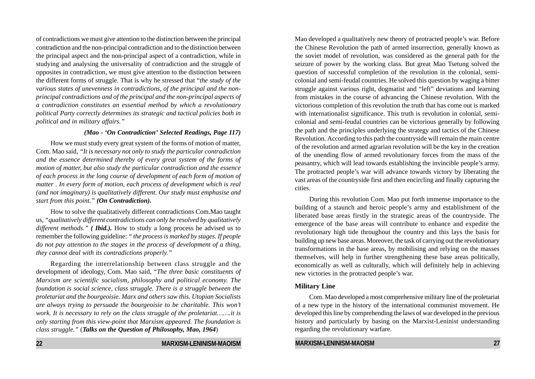of contradictions we must give attention to the distinction between the principal contradiction and the non-principal contradiction and to the distinction between the principal aspect and the non-principal aspect of a contradiction, while in studying and analysing the universality of contradiction and the struggle of opposites in contradiction, we must give attention to the distinction between the different forms of struggle. That is why he stressed that "*the study of the various states of unevenness in contradictions, of the principal and the nonprincipal contradictions and of the principal and the non-principal aspects of a contradiction constitutes an essential method by which a revolutionary political Party correctly determines its strategic and tactical policies both in political and in military affairs."*

#### *(Mao - 'On Contradiction' Selected Readings, Page 117)*

How we must study every great system of the forms of motion of matter, Com. Mao said, *"It is necessary not only to study the particular contradiction and the essence determined thereby of every great system of the forms of motion of matter, but also study the particular contradiction and the essence of each process in the long course of development of each form of motion of matter . In every form of motion, each process of development which is real (and not imaginary) is qualitatively different. Our study must emphasise and start from this point." (On Contradiction).*

How to solve the qualitatively different contradictions Com.Mao taught us, *"qualitatively different contradictions can only be resolved by qualitatively different methods." ( Ibid.).* How to study a long process he advised us to remember the following guideline: *" the process is marked by stages. If people do not pay attention to the stages in the process of development of a thing, they cannot deal with its contradictions properly."*

Regarding the interrelationship between class struggle and the development of ideology, Com. Mao said, "*The three basic constituents of Marxism are scientific socialism, philosophy and political economy. The foundation is social science, class struggle. There is a struggle between the proletariat and the bourgeoisie. Marx and others saw this. Utopian Socialists are always trying to persuade the bourgeoisie to be charitable. This won't work. It is necessary to rely on the class struggle of the proletariat…….it is only starting from this view-point that Marxism appeared. The foundation is class struggle."* (*Talks on the Question of Philosophy, Mao, 1964*)

Mao developed a qualitatively new theory of protracted people's war. Before the Chinese Revolution the path of armed insurrection, generally known as the soviet model of revolution, was considered as the general path for the seizure of power by the working class. But great Mao Tsetung solved the question of successful completion of the revolution in the colonial, semicolonial and semi-feudal countries. He solved this question by waging a bitter struggle against various right, dogmatist and "left" deviations and learning from mistakes in the course of advancing the Chinese revolution. With the victorious completion of this revolution the truth that has come out is marked with internationalist significance. This truth is revolution in colonial, semicolonial and semi-feudal countries can be victorious generally by following the path and the principles underlying the strategy and tactics of the Chinese Revolution. According to this path the countryside will remain the main centre of the revolution and armed agrarian revolution will be the key in the creation of the unending flow of armed revolutionary forces from the mass of the peasantry, which will lead towards establishing the invincible people's army. The protracted people's war will advance towards victory by liberating the vast areas of the countryside first and then encircling and finally capturing the cities.

During this revolution Com. Mao put forth immense importance to the building of a staunch and heroic people's army and establishment of the liberated base areas firstly in the strategic areas of the countryside. The emergence of the base areas will contribute to enhance and expedite the revolutionary high tide throughout the country and this lays the basis for building up new base areas. Moreover, the task of carrying out the revolutionary transformations in the base areas, by mobilising and relying on the masses themselves, will help in further strengthening these base areas politically, economically as well as culturally, which will definitely help in achieving new victories in the protracted people's war.

#### **Military Line**

Com. Mao developed a most comprehensive military line of the proletariat of a new type in the history of the international communist movement. He developed this line by comprehending the laws of war developed in the previous history and particularly by basing on the Marxist-Leninist understanding regarding the revolutionary warfare.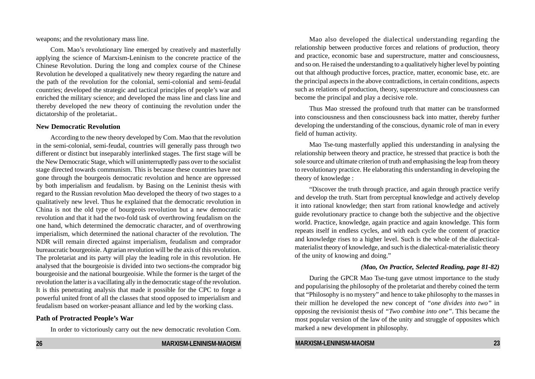weapons; and the revolutionary mass line.

Com. Mao's revolutionary line emerged by creatively and masterfully applying the science of Marxism-Leninism to the concrete practice of the Chinese Revolution. During the long and complex course of the Chinese Revolution he developed a qualitatively new theory regarding the nature and the path of the revolution for the colonial, semi-colonial and semi-feudal countries; developed the strategic and tactical principles of people's war and enriched the military science; and developed the mass line and class line and thereby developed the new theory of continuing the revolution under the dictatorship of the proletariat..

#### **New Democratic Revolution**

According to the new theory developed by Com. Mao that the revolution in the semi-colonial, semi-feudal, countries will generally pass through two different or distinct but inseparably interlinked stages. The first stage will be the New Democratic Stage, which will uninterruptedly pass over to the socialist stage directed towards communism. This is because these countries have not gone through the bourgeois democratic revolution and hence are oppressed by both imperialism and feudalism. by Basing on the Leninist thesis with regard to the Russian revolution Mao developed the theory of two stages to a qualitatively new level. Thus he explained that the democratic revolution in China is not the old type of bourgeois revolution but a new democratic revolution and that it had the two-fold task of overthrowing feudalism on the one hand, which determined the democratic character, and of overthrowing imperialism, which determined the national character of the revolution. The NDR will remain directed against imperialism, feudalism and comprador bureaucratic bourgeoisie. Agrarian revolution will be the axis of this revolution. The proletariat and its party will play the leading role in this revolution. He analysed that the bourgeoisie is divided into two sections-the comprador big bourgeoisie and the national bourgeoisie. While the former is the target of the revolution the latter is a vacillating ally in the democratic stage of the revolution. It is this penetrating analysis that made it possible for the CPC to forge a powerful united front of all the classes that stood opposed to imperialism and feudalism based on worker-peasant alliance and led by the working class.

#### **Path of Protracted People's War**

In order to victoriously carry out the new democratic revolution Com.

Mao also developed the dialectical understanding regarding the relationship between productive forces and relations of production, theory and practice, economic base and superstructure, matter and consciousness, and so on. He raised the understanding to a qualitatively higher level by pointing out that although productive forces, practice, matter, economic base, etc. are the principal aspects in the above contradictions, in certain conditions, aspects such as relations of production, theory, superstructure and consciousness can become the principal and play a decisive role.

Thus Mao stressed the profound truth that matter can be transformed into consciousness and then consciousness back into matter, thereby further developing the understanding of the conscious, dynamic role of man in every field of human activity.

Mao Tse-tung masterfully applied this understanding in analysing the relationship between theory and practice, he stressed that practice is both the sole source and ultimate criterion of truth and emphasising the leap from theory to revolutionary practice. He elaborating this understanding in developing the theory of knowledge :

"Discover the truth through practice, and again through practice verify and develop the truth. Start from perceptual knowledge and actively develop it into rational knowledge; then start from rational knowledge and actively guide revolutionary practice to change both the subjective and the objective world. Practice, knowledge, again practice and again knowledge. This form repeats itself in endless cycles, and with each cycle the content of practice and knowledge rises to a higher level. Such is the whole of the dialecticalmaterialist theory of knowledge, and such is the dialectical-materialistic theory of the unity of knowing and doing."

#### *(Mao, On Practice, Selected Reading, page 81-82)*

During the GPCR Mao Tse-tung gave utmost importance to the study and popularising the philosophy of the proletariat and thereby coined the term that "Philosophy is no mystery" and hence to take philosophy to the masses in their million he developed the new concept of *"one divides into two"* in opposing the revisionist thesis of *"Two combine into one"*. This became the most popular version of the law of the unity and struggle of opposites which marked a new development in philosophy.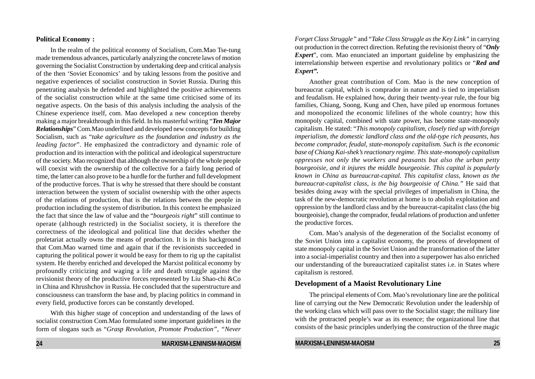#### **Political Economy :**

In the realm of the political economy of Socialism, Com.Mao Tse-tung made tremendous advances, particularly analyzing the concrete laws of motion governing the Socialist Construction by undertaking deep and critical analysis of the then 'Soviet Economics' and by taking lessons from the positive and negative experiences of socialist construction in Soviet Russia. During this penetrating analysis he defended and highlighted the positive achievements of the socialist construction while at the same time criticised some of its negative aspects. On the basis of this analysis including the analysis of the Chinese experience itself, com. Mao developed a new conception thereby making a major breakthrough in this field. In his masterful writing "*Ten Major Relationships*" Com.Mao underlined and developed new concepts for building Socialism, such as "*take agriculture as the foundation and industry as the leading factor*". He emphasized the contradictory and dynamic role of production and its interaction with the political and ideological superstructure of the society. Mao recognized that although the ownership of the whole people will coexist with the ownership of the collective for a fairly long period of time, the latter can also prove to be a hurdle for the further and full development of the productive forces. That is why he stressed that there should be constant interaction between the system of socialist ownership with the other aspects of the relations of production, that is the relations between the people in production including the system of distribution. In this context he emphasized the fact that since the law of value and the "*bourgeois right*" still continue to operate (although restricted) in the Socialist society, it is therefore the correctness of the ideological and political line that decides whether the proletariat actually owns the means of production. It is in this background that Com.Mao warned time and again that if the revisionists succeeded in capturing the political power it would be easy for them to rig up the capitalist system. He thereby enriched and developed the Marxist political economy by profoundly criticizing and waging a life and death struggle against the revisionist theory of the productive forces represented by Liu Shao-chi &Co in China and Khrushchov in Russia. He concluded that the superstructure and consciousness can transform the base and, by placing politics in command in every field, productive forces can be constantly developed.

With this higher stage of conception and understanding of the laws of socialist construction Com.Mao formulated some important guidelines in the form of slogans such as "*Grasp Revolution, Promote Production", "Never* *Forget Class Struggle"* and "*Take Class Struggle as the Key Link"* in carrying out production in the correct direction. Refuting the revisionist theory of "*Only Expert*", com. Mao enunciated an important guideline by emphasizing the interrelationship between expertise and revolutionary politics or "*Red and Expert".*

Another great contribution of Com. Mao is the new conception of bureaucrat capital, which is comprador in nature and is tied to imperialism and feudalism. He explained how, during their twenty-year rule, the four big families, Chiang, Soong, Kung and Chen, have piled up enormous fortunes and monopolized the economic lifelines of the whole country; how this monopoly capital, combined with state power, has become state-monopoly capitalism. He stated: "*This monopoly capitalism, closely tied up with foreign imperialism, the domestic landlord class and the old-type rich peasants, has become comprador, feudal, state-monopoly capitalism. Such is the economic base of Chiang Kai-shek's reactionary regime. This state-monopoly capitalism oppresses not only the workers and peasants but also the urban petty bourgeoisie, and it injures the middle bourgeoisie. This capital is popularly known in China as bureaucrat-capital. This capitalist class, known as the bureaucrat-capitalist class, is the big bourgeoisie of China."* He said that besides doing away with the special privileges of imperialism in China, the task of the new-democratic revolution at home is to abolish exploitation and oppression by the landlord class and by the bureaucrat-capitalist class (the big bourgeoisie), change the comprador, feudal relations of production and unfetter the productive forces.

Com. Mao's analysis of the degeneration of the Socialist economy of the Soviet Union into a capitalist economy, the process of development of state monopoly capital in the Soviet Union and the transformation of the latter into a social-imperialist country and then into a superpower has also enriched our understanding of the bureaucratized capitalist states i.e. in States where capitalism is restored.

#### **Development of a Maoist Revolutionary Line**

The principal elements of Com. Mao's revolutionary line are the political line of carrying out the New Democratic Revolution under the leadership of the working class which will pass over to the Socialist stage; the military line with the protracted people's war as its essence; the organizational line that consists of the basic principles underlying the construction of the three magic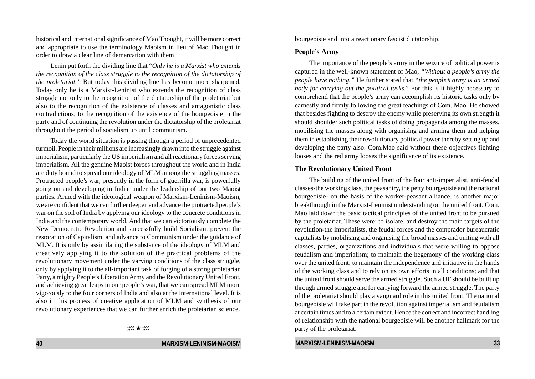historical and international significance of Mao Thought, it will be more correct and appropriate to use the terminology Maoism in lieu of Mao Thought in order to draw a clear line of demarcation with them

Lenin put forth the dividing line that "*Only he is a Marxist who extends the recognition of the class struggle to the recognition of the dictatorship of the proletariat."* But today this dividing line has become more sharpened. Today only he is a Marxist-Leninist who extends the recognition of class struggle not only to the recognition of the dictatorship of the proletariat but also to the recognition of the existence of classes and antagonistic class contradictions, to the recognition of the existence of the bourgeoisie in the party and of continuing the revolution under the dictatorship of the proletariat throughout the period of socialism up until communism.

Today the world situation is passing through a period of unprecedented turmoil. People in their millions are increasingly drawn into the struggle against imperialism, particularly the US imperialism and all reactionary forces serving imperialism. All the genuine Maoist forces throughout the world and in India are duty bound to spread our ideology of MLM among the struggling masses. Protracted people's war, presently in the form of guerrilla war, is powerfully going on and developing in India, under the leadership of our two Maoist parties. Armed with the ideological weapon of Marxism-Leninism-Maoism, we are confident that we can further deepen and advance the protracted people's war on the soil of India by applying our ideology to the concrete conditions in India and the contemporary world. And that we can victoriously complete the New Democratic Revolution and successfully build Socialism, prevent the restoration of Capitalism, and advance to Communism under the guidance of MLM. It is only by assimilating the substance of the ideology of MLM and creatively applying it to the solution of the practical problems of the revolutionary movement under the varying conditions of the class struggle, only by applying it to the all-important task of forging of a strong proletarian Party, a mighty People's Liberation Army and the Revolutionary United Front, and achieving great leaps in our people's war, that we can spread MLM more vigorously to the four corners of India and also at the international level. It is also in this process of creative application of MLM and synthesis of our revolutionary experiences that we can further enrich the proletarian science.

 $m \star m$ 

#### **40 MARXISM-LENINISM-MAOISM**

bourgeoisie and into a reactionary fascist dictatorship.

#### **People's Army**

The importance of the people's army in the seizure of political power is captured in the well-known statement of Mao, *"Without a people's army the people have nothing."* He further stated that *"the people's army is an armed body for carrying out the political tasks*." For this is it highly necessary to comprehend that the people's army can accomplish its historic tasks only by earnestly and firmly following the great teachings of Com. Mao. He showed that besides fighting to destroy the enemy while preserving its own strength it should shoulder such political tasks of doing propaganda among the masses, mobilising the masses along with organising and arming them and helping them in establishing their revolutionary political power thereby setting up and developing the party also. Com.Mao said without these objectives fighting looses and the red army looses the significance of its existence.

#### **The Revolutionary United Front**

The building of the united front of the four anti-imperialist, anti-feudal classes-the working class, the peasantry, the petty bourgeoisie and the national bourgeoisie- on the basis of the worker-peasant alliance, is another major breakthrough in the Marxist-Leninist understanding on the united front. Com. Mao laid down the basic tactical principles of the united front to be pursued by the proletariat. These were: to isolate, and destroy the main targets of the revolution-the imperialists, the feudal forces and the comprador bureaucratic capitalists by mobilising and organising the broad masses and uniting with all classes, parties, organizations and individuals that were willing to oppose feudalism and imperialism; to maintain the hegemony of the working class over the united front; to maintain the independence and initiative in the hands of the working class and to rely on its own efforts in all conditions; and that the united front should serve the armed struggle. Such a UF should be built up through armed struggle and for carrying forward the armed struggle. The party of the proletariat should play a vanguard role in this united front. The national bourgeoisie will take part in the revolution against imperialism and feudalism at certain times and to a certain extent. Hence the correct and incorrect handling of relationship with the national bourgeoisie will be another hallmark for the party of the proletariat.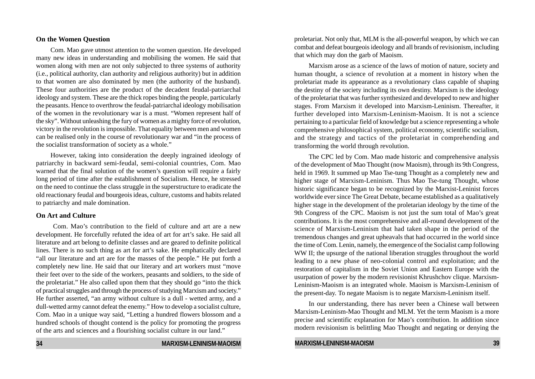#### **On the Women Question**

Com. Mao gave utmost attention to the women question. He developed many new ideas in understanding and mobilising the women. He said that women along with men are not only subjected to three systems of authority (i.e., political authority, clan authority and religious authority) but in addition to that women are also dominated by men (the authority of the husband). These four authorities are the product of the decadent feudal-patriarchal ideology and system. These are the thick ropes binding the people, particularly the peasants. Hence to overthrow the feudal-patriarchal ideology mobilisation of the women in the revolutionary war is a must. "Women represent half of the sky". Without unleashing the fury of women as a mighty force of revolution, victory in the revolution is impossible. That equality between men and women can be realised only in the course of revolutionary war and "in the process of the socialist transformation of society as a whole."

However, taking into consideration the deeply ingrained ideology of patriarchy in backward semi-feudal, semi-colonial countries, Com. Mao warned that the final solution of the women's question will require a fairly long period of time after the establishment of Socialism. Hence, he stressed on the need to continue the class struggle in the superstructure to eradicate the old reactionary feudal and bourgeois ideas, culture, customs and habits related to patriarchy and male domination.

#### **On Art and Culture**

Com. Mao's contribution to the field of culture and art are a new development. He forcefully refuted the idea of art for art's sake. He said all literature and art belong to definite classes and are geared to definite political lines. There is no such thing as art for art's sake. He emphatically declared "all our literature and art are for the masses of the people." He put forth a completely new line. He said that our literary and art workers must "move their feet over to the side of the workers, peasants and soldiers, to the side of the proletariat." He also called upon them that they should go "into the thick of practical struggles and through the process of studying Marxism and society." He further asserted, "an army without culture is a dull - wetted army, and a dull-wetted army cannot defeat the enemy." How to develop a socialist culture, Com. Mao in a unique way said, "Letting a hundred flowers blossom and a hundred schools of thought contend is the policy for promoting the progress of the arts and sciences and a flourishing socialist culture in our land."

**34 MARXISM-LENINISM-MAOISM**

proletariat. Not only that, MLM is the all-powerful weapon, by which we can combat and defeat bourgeois ideology and all brands of revisionism, including that which may don the garb of Maoism.

Marxism arose as a science of the laws of motion of nature, society and human thought, a science of revolution at a moment in history when the proletariat made its appearance as a revolutionary class capable of shaping the destiny of the society including its own destiny. Marxism is the ideology of the proletariat that was further synthesized and developed to new and higher stages. From Marxism it developed into Marxism-Leninism. Thereafter, it further developed into Marxism-Leninism-Maoism. It is not a science pertaining to a particular field of knowledge but a science representing a whole comprehensive philosophical system, political economy, scientific socialism, and the strategy and tactics of the proletariat in comprehending and transforming the world through revolution.

The CPC led by Com. Mao made historic and comprehensive analysis of the development of Mao Thought (now Maoism), through its 9th Congress, held in 1969. It summed up Mao Tse-tung Thought as a completely new and higher stage of Marxism-Leninism. Thus Mao Tse-tung Thought, whose historic significance began to be recognized by the Marxist-Leninist forces worldwide ever since The Great Debate, became established as a qualitatively higher stage in the development of the proletarian ideology by the time of the 9th Congress of the CPC. Maoism is not just the sum total of Mao's great contributions. It is the most comprehensive and all-round development of the science of Marxism-Leninism that had taken shape in the period of the tremendous changes and great upheavals that had occurred in the world since the time of Com. Lenin, namely, the emergence of the Socialist camp following WW II; the upsurge of the national liberation struggles throughout the world leading to a new phase of neo-colonial control and exploitation; and the restoration of capitalism in the Soviet Union and Eastern Europe with the usurpation of power by the modern revisionist Khrushchov clique. Marxism-Leninism-Maoism is an integrated whole. Maoism is Marxism-Leninism of the present-day. To negate Maoism is to negate Marxism-Leninism itself.

In our understanding, there has never been a Chinese wall between Marxism-Leninism-Mao Thought and MLM. Yet the term Maoism is a more precise and scientific explanation for Mao's contribution. In addition since modern revisionism is belittling Mao Thought and negating or denying the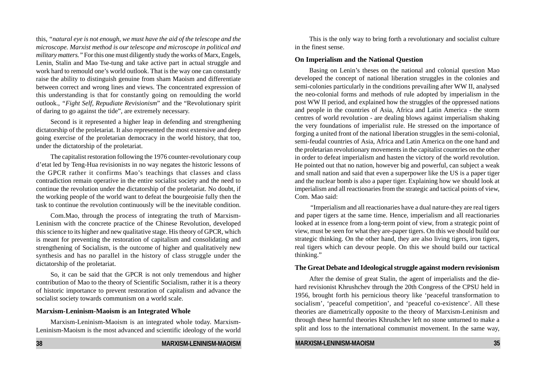this, *"natural eye is not enough, we must have the aid of the telescope and the microscope. Marxist method is our telescope and microscope in political and military matters."* For this one must diligently study the works of Marx, Engels, Lenin, Stalin and Mao Tse-tung and take active part in actual struggle and work hard to remould one's world outlook. That is the way one can constantly raise the ability to distinguish genuine from sham Maoism and differentiate between correct and wrong lines and views. The concentrated expression of this understanding is that for constantly going on remoulding the world outlook., *"Fight Self, Repudiate Revisionism*" and the "Revolutionary spirit of daring to go against the tide", are extremely necessary.

Second is it represented a higher leap in defending and strengthening dictatorship of the proletariat. It also represented the most extensive and deep going exercise of the proletarian democracy in the world history, that too, under the dictatorship of the proletariat.

The capitalist restoration following the 1976 counter-revolutionary coup d'etat led by Teng-Hua revisionists in no way negates the historic lessons of the GPCR rather it confirms Mao's teachings that classes and class contradiction remain operative in the entire socialist society and the need to continue the revolution under the dictatorship of the proletariat. No doubt, if the working people of the world want to defeat the bourgeoisie fully then the task to continue the revolution continuously will be the inevitable condition.

Com.Mao, through the process of integrating the truth of Marxism-Leninism with the concrete practice of the Chinese Revolution, developed this science to its higher and new qualitative stage. His theory of GPCR, which is meant for preventing the restoration of capitalism and consolidating and strengthening of Socialism, is the outcome of higher and qualitatively new synthesis and has no parallel in the history of class struggle under the dictatorship of the proletariat.

So, it can be said that the GPCR is not only tremendous and higher contribution of Mao to the theory of Scientific Socialism, rather it is a theory of historic importance to prevent restoration of capitalism and advance the socialist society towards communism on a world scale.

#### **Marxism-Leninism-Maoism is an Integrated Whole**

Marxism-Leninism-Maoism is an integrated whole today. Marxism-Leninism-Maoism is the most advanced and scientific ideology of the world

This is the only way to bring forth a revolutionary and socialist culture in the finest sense.

#### **On Imperialism and the National Question**

Basing on Lenin's theses on the national and colonial question Mao developed the concept of national liberation struggles in the colonies and semi-colonies particularly in the conditions prevailing after WW II, analysed the neo-colonial forms and methods of rule adopted by imperialism in the post WW II period, and explained how the struggles of the oppressed nations and people in the countries of Asia, Africa and Latin America - the storm centres of world revolution - are dealing blows against imperialism shaking the very foundations of imperialist rule. He stressed on the importance of forging a united front of the national liberation struggles in the semi-colonial, semi-feudal countries of Asia, Africa and Latin America on the one hand and the proletarian revolutionary movements in the capitalist countries on the other in order to defeat imperialism and hasten the victory of the world revolution. He pointed out that no nation, however big and powerful, can subject a weak and small nation and said that even a superpower like the US is a paper tiger and the nuclear bomb is also a paper tiger. Explaining how we should look at imperialism and all reactionaries from the strategic and tactical points of view, Com. Mao said:

 "Imperialism and all reactionaries have a dual nature-they are real tigers and paper tigers at the same time. Hence, imperialism and all reactionaries looked at in essence from a long-term point of view, from a strategic point of view, must be seen for what they are-paper tigers. On this we should build our strategic thinking. On the other hand, they are also living tigers, iron tigers, real tigers which can devour people. On this we should build our tactical thinking."

#### **The Great Debate and Ideological struggle against modern revisionism**

After the demise of great Stalin, the agent of imperialists and the diehard revisionist Khrushchev through the 20th Congress of the CPSU held in 1956, brought forth his pernicious theory like 'peaceful transformation to socialism', 'peaceful competition', and 'peaceful co-existence'. All these theories are diametrically opposite to the theory of Marxism-Leninism and through these harmful theories Khrushchev left no stone unturned to make a split and loss to the international communist movement. In the same way,